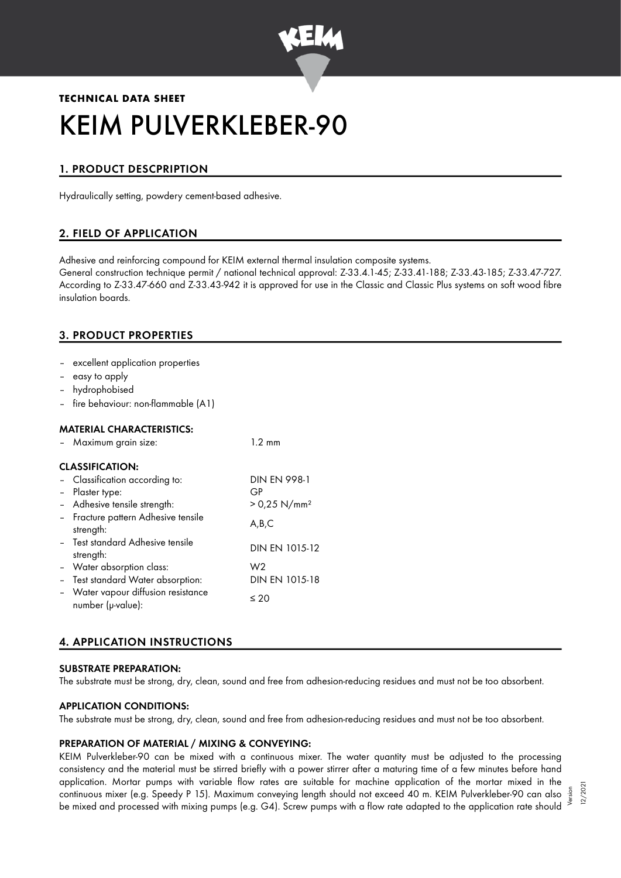

# **TECHNICAL DATA SHEET** KEIM PULVERKLEBER-90

# 1. PRODUCT DESCPRIPTION

Hydraulically setting, powdery cement-based adhesive.

# 2. FIELD OF APPLICATION

Adhesive and reinforcing compound for KEIM external thermal insulation composite systems.

General construction technique permit / national technical approval: Z-33.4.1-45; Z-33.41-188; Z-33.43-185; Z-33.47-727. According to Z-33.47-660 and Z-33.43-942 it is approved for use in the Classic and Classic Plus systems on soft wood fibre insulation boards.

# 3. PRODUCT PROPERTIES

- excellent application properties
- easy to apply
- hydrophobised
- fire behaviour: non-flammable (A1)

#### MATERIAL CHARACTERISTICS:

|                        | Maximum grain size:                                      | $1.2 \text{ mm}$           |  |  |  |
|------------------------|----------------------------------------------------------|----------------------------|--|--|--|
| <b>CLASSIFICATION:</b> |                                                          |                            |  |  |  |
|                        | - Classification according to:                           | <b>DIN EN 998-1</b>        |  |  |  |
| $\sim$                 | Plaster type:                                            | GP                         |  |  |  |
|                        | - Adhesive tensile strength:                             | $> 0.25$ N/mm <sup>2</sup> |  |  |  |
|                        | - Fracture pattern Adhesive tensile<br>strength:         | A,B,C                      |  |  |  |
|                        | - Test standard Adhesive tensile<br>strength:            | DIN EN 1015-12             |  |  |  |
|                        | - Water absorption class:                                | W <sub>2</sub>             |  |  |  |
|                        | - Test standard Water absorption:                        | DIN EN 1015-18             |  |  |  |
|                        | - Water vapour diffusion resistance<br>number (µ-value): | $\leq 20$                  |  |  |  |

# 4. APPLICATION INSTRUCTIONS

#### SUBSTRATE PREPARATION:

The substrate must be strong, dry, clean, sound and free from adhesion-reducing residues and must not be too absorbent.

#### APPLICATION CONDITIONS:

The substrate must be strong, dry, clean, sound and free from adhesion-reducing residues and must not be too absorbent.

#### PREPARATION OF MATERIAL / MIXING & CONVEYING:

KEIM Pulverkleber-90 can be mixed with a continuous mixer. The water quantity must be adjusted to the processing consistency and the material must be stirred briefly with a power stirrer after a maturing time of a few minutes before hand application. Mortar pumps with variable flow rates are suitable for machine application of the mortar mixed in the continuous mixer (e.g. Speedy P 15). Maximum conveying length should not exceed 40 m. KEIM Pulverkleber-90 can also be mixed and processed with mixing pumps (e.g. G4). Screw pumps with a flow rate adapted to the application rate should

Version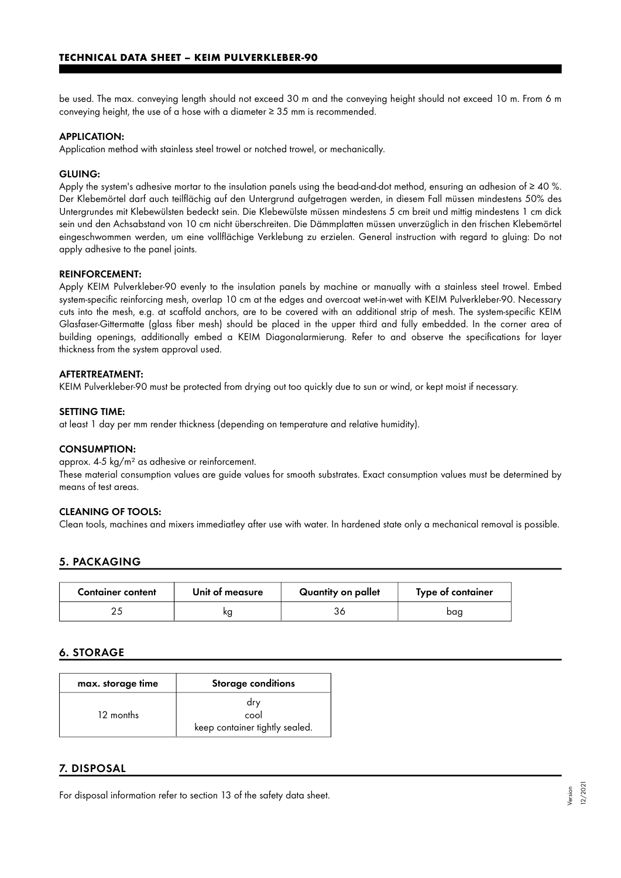be used. The max. conveying length should not exceed 30 m and the conveying height should not exceed 10 m. From 6 m conveying height, the use of a hose with a diameter ≥ 35 mm is recommended.

#### APPLICATION:

Application method with stainless steel trowel or notched trowel, or mechanically.

#### GLUING:

Apply the system's adhesive mortar to the insulation panels using the bead-and-dot method, ensuring an adhesion of  $\geq 40$  %. Der Klebemörtel darf auch teilflächig auf den Untergrund aufgetragen werden, in diesem Fall müssen mindestens 50% des Untergrundes mit Klebewülsten bedeckt sein. Die Klebewülste müssen mindestens 5 cm breit und mittig mindestens 1 cm dick sein und den Achsabstand von 10 cm nicht überschreiten. Die Dämmplatten müssen unverzüglich in den frischen Klebemörtel eingeschwommen werden, um eine vollflächige Verklebung zu erzielen. General instruction with regard to gluing: Do not apply adhesive to the panel joints.

#### REINFORCEMENT:

Apply KEIM Pulverkleber-90 evenly to the insulation panels by machine or manually with a stainless steel trowel. Embed system-specific reinforcing mesh, overlap 10 cm at the edges and overcoat wet-in-wet with KEIM Pulverkleber-90. Necessary cuts into the mesh, e.g. at scaffold anchors, are to be covered with an additional strip of mesh. The system-specific KEIM Glasfaser-Gittermatte (glass fiber mesh) should be placed in the upper third and fully embedded. In the corner area of building openings, additionally embed a KEIM Diagonalarmierung. Refer to and observe the specifications for layer thickness from the system approval used.

#### AFTERTREATMENT:

KEIM Pulverkleber-90 must be protected from drying out too quickly due to sun or wind, or kept moist if necessary.

#### SETTING TIME:

at least 1 day per mm render thickness (depending on temperature and relative humidity).

#### CONSUMPTION:

approx. 4-5 kg/m² as adhesive or reinforcement.

These material consumption values are guide values for smooth substrates. Exact consumption values must be determined by means of test areas.

#### CLEANING OF TOOLS:

Clean tools, machines and mixers immediatley after use with water. In hardened state only a mechanical removal is possible.

# 5. PACKAGING

| <b>Container content</b> | Unit of measure | Quantity on pallet | Type of container |
|--------------------------|-----------------|--------------------|-------------------|
|                          | ΚC              |                    | baa               |

# 6. STORAGE

| max. storage time | <b>Storage conditions</b>                     |
|-------------------|-----------------------------------------------|
| 12 months         | drv<br>cool<br>keep container tightly sealed. |

## 7. DISPOSAL

For disposal information refer to section 13 of the safety data sheet.